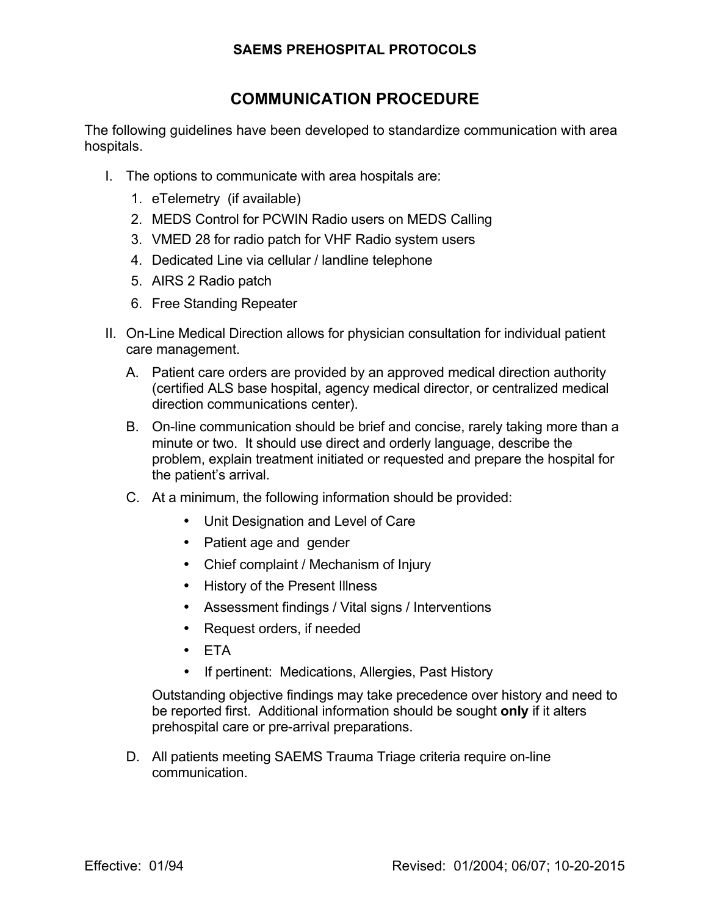## **SAEMS PREHOSPITAL PROTOCOLS**

## **COMMUNICATION PROCEDURE**

The following guidelines have been developed to standardize communication with area hospitals.

- I. The options to communicate with area hospitals are:
	- 1. eTelemetry (if available)
	- 2. MEDS Control for PCWIN Radio users on MEDS Calling
	- 3. VMED 28 for radio patch for VHF Radio system users
	- 4. Dedicated Line via cellular / landline telephone
	- 5. AIRS 2 Radio patch
	- 6. Free Standing Repeater
- II. On-Line Medical Direction allows for physician consultation for individual patient care management.
	- A. Patient care orders are provided by an approved medical direction authority (certified ALS base hospital, agency medical director, or centralized medical direction communications center).
	- B. On-line communication should be brief and concise, rarely taking more than a minute or two. It should use direct and orderly language, describe the problem, explain treatment initiated or requested and prepare the hospital for the patient's arrival.
	- C. At a minimum, the following information should be provided:
		- Unit Designation and Level of Care
		- Patient age and gender
		- Chief complaint / Mechanism of Injury
		- History of the Present Illness
		- Assessment findings / Vital signs / Interventions
		- Request orders, if needed
		- ETA
		- If pertinent: Medications, Allergies, Past History

Outstanding objective findings may take precedence over history and need to be reported first. Additional information should be sought **only** if it alters prehospital care or pre-arrival preparations.

D. All patients meeting SAEMS Trauma Triage criteria require on-line communication.